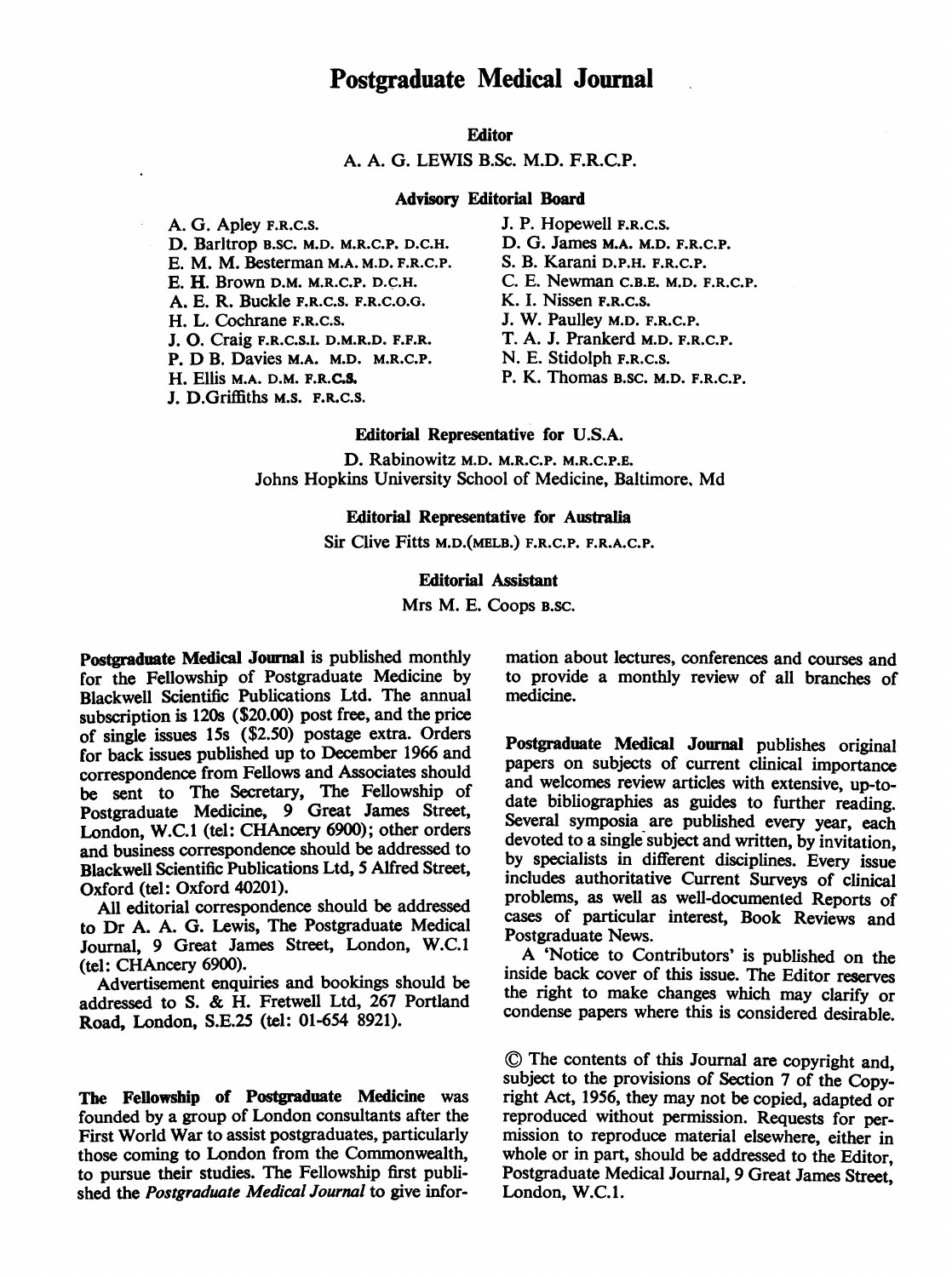# Postgraduate Medical Journal

# **Editor**

# A. A. G. LEWIS B.Sc. M.D. F.R.C.P.

## Advisory Editorial Board

A. G. Apley F.R.C.S. J. P. Hopewell F.R.C.S.<br>D. Barltrop B.SC. M.D. M.R.C.P. D.C.H. D. G. James M.A. M.D. F.R.C.P. D. Barltrop B.SC. M.D. M.R.C.P. D.C.H. D. G. James M.A. M.D. F.R.C.P.<br>E. M. M. Besterman M.A. M.D. F.R.C.P. S. B. Karani D.P.H. F.R.C.P. E. M. M. Besterman M.A. M.D. F.R.C.P.<br>E. H. Brown D.M. M.R.C.P. D.C.H. A. E. R. Buckle F.R.C.S. F.R.C.O.G.<br>H. L. Cochrane F.R.C.S. J. O. Craig F.R.C.S.I. D.M.R.D. F.F.R. T. A. J. Prankerd M.D.<br>P. D B. Davies M.A. M.D. M.R.C.P. N. E. Stidolph F.R.C.S. P. D B. Davies M.A. M.D. M.R.C.P.<br>H. Ellis M.A. D.M. F.R.C.S. J. D.Griffiths M.S. F.R.C.S.

C. E. Newman C.B.E. M.D. F.R.C.P.<br>K. I. Nissen F.R.C.S. J. W. Paulley M.D. F.R.C.P.<br>T. A. J. Prankerd M.D. F.R.C.P.

P. K. Thomas B.Sc. M.D. F.R.C.P.

## Editorial Representative for U.S.A.

D. Rabinowitz M.D. M.R.C.P. M.R.C.P.E. Johns Hopkins University School of Medicine, Baltimore, Md

## Editorial Representative for Australia

Sir Clive Fitts M.D.(MELB.) F.R.C.P. F.R.A.C.P.

## Editorial Assistant

Mrs M. E. Coops B.SC.

Postgraduate Medical Journal is published monthly for the Fellowship of Postgraduate Medicine by Blackwell Scientific Publications Ltd. The annual subscription is 120s (\$20.00) post free, and the price of single issues 15s (\$2.50) postage extra. Orders for back issues published up to December 1966 and correspondence from Fellows and Associates should be sent to The Secretary, The Fellowship of Postgraduate Medicine, 9 Great James Street, London, W.C.1 (tel: CHAncery 6900); other orders and business correspondence should be addressed to Blackwell Scientific Publications Ltd, 5 Alfred Street, Oxford (tel: Oxford 40201).

All editorial correspondence should be addressed to Dr A. A. G. Lewis, The Postgraduate Medical Journal, 9 Great James Street, London, W.C.1 (tel: CHAncery 6900).

Advertisement enquiries and bookings should be addressed to S. & H. Fretwell Ltd, <sup>267</sup> Portland Road, London, S.E.25 (tel: 01-654 8921).

The Fellowship of Postgraduate Medicine was founded by a group of London consultants after the First World War to assist postgraduates, particularly those coming to London from the Commonwealth, to pursue their studies. The Fellowship first published the Postgraduate Medical Journal to give information about lectures, conferences and courses and to provide a monthly review of all branches of medicine.

Postgraduate Medical Journal publishes original papers on subjects of current clinical importance and welcomes review articles with extensive, up-todate bibliographies as guides to further reading. Several symposia are published every year, each devoted to a single subject and written, by invitation, by specialists in different disciplines. Every issue includes authoritative Current Surveys of clinical problems, as well as well-documented Reports of cases of particular interest, Book Reviews and Postgraduate News.

A 'Notice to Contributors' is published on the inside back cover of this issue. The Editor reserves the right to make changes which may clarify or condense papers where this is considered desirable.

(D The contents of this Journal are copyright and, subject to the provisions of Section 7 of the Copyright Act, 1956, they may not be copied, adapted or reproduced without permission. Requests for permission to reproduce material elsewhere, either in whole or in part, should be addressed to the Editor, Postgraduate Medical Journal, 9 Great James Street, London, W.C.1.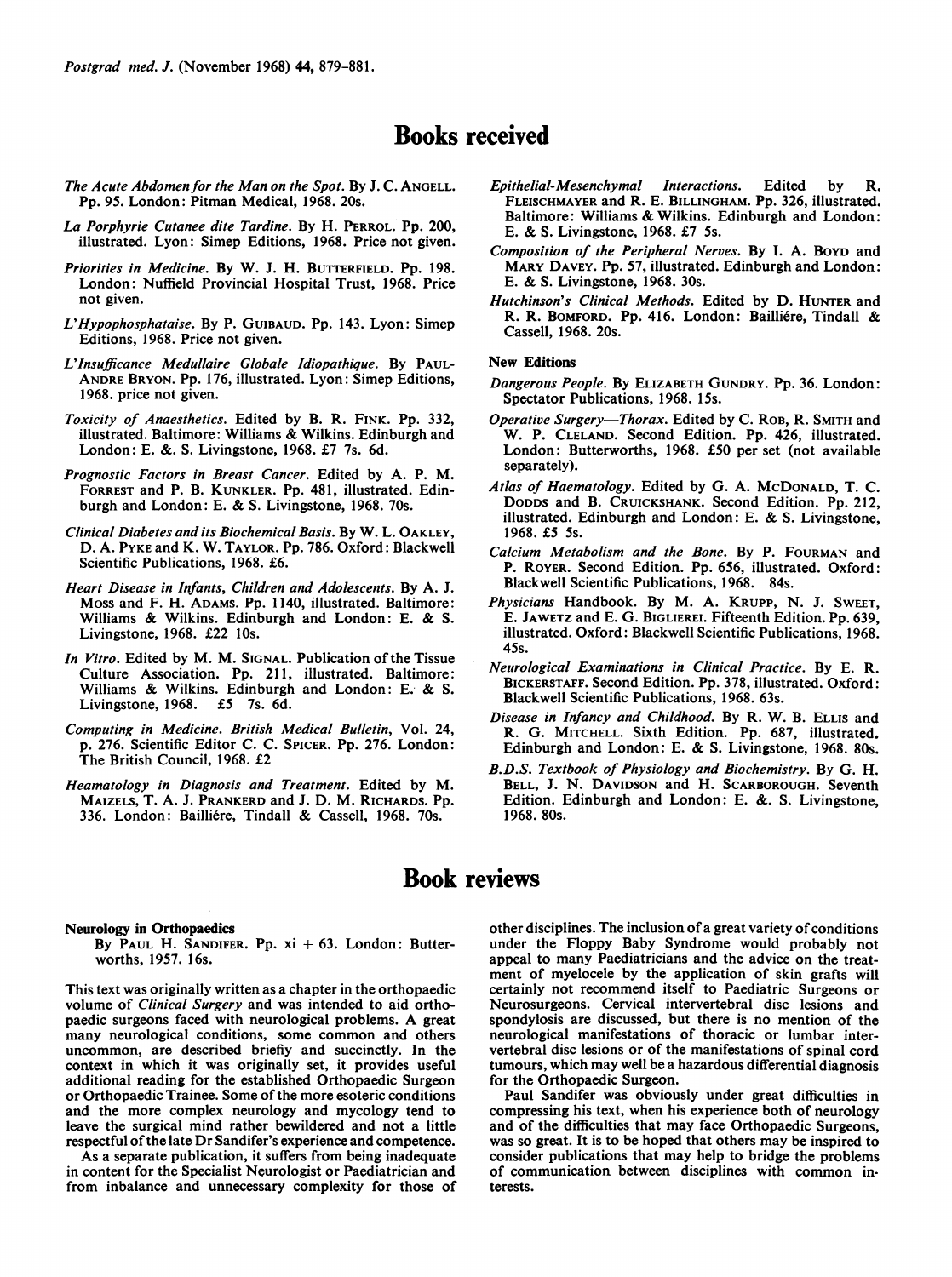Postgrad med. J. (November 1968) 44, 879-881.

# Books received

- The Acute Abdomen for the Man on the Spot. By J. C. ANGELL. Pp. 95. London: Pitman Medical, 1968. 20s.
- La Porphyrie Cutanee dite Tardine. By H. PERROL. Pp. 200, illustrated. Lyon: Simep Editions, 1968. Price not given.
- Priorities in Medicine. By W. J. H. BUTTERFIELD. Pp. 198. London: Nuffield Provincial Hospital Trust, 1968. Price not given.
- L'Hypophosphataise. By P. GUIBAUD. Pp. 143. Lyon: Simep Editions, 1968. Price not given.
- L'Insufficance Medullaire Globale Idiopathique. By PAUL-ANDRE BRYON. Pp. 176, illustrated. Lyon: Simep Editions, 1968. price not given.
- Toxicity of Anaesthetics. Edited by B. R. FINK. Pp. 332, illustrated. Baltimore: Williams & Wilkins. Edinburgh and London: E. &. S. Livingstone, 1968. £7 7s. 6d.
- Prognostic Factors in Breast Cancer. Edited by A. P. M. FORREST and P. B. KUNKLER. Pp. 481, illustrated. Edinburgh and London: E. & S. Livingstone, 1968. 70s.
- Clinical Diabetes and its Biochemical Basis. By W. L. OAKLEY, D. A. PYKE and K. W. TAYLOR. Pp. 786. Oxford: Blackwell Scientific Publications, 1968. £6.
- Heart Disease in Infants, Children and Adolescents. By A. J. Moss and F. H. ADAMS. Pp. 1140, illustrated. Baltimore: Williams & Wilkins. Edinburgh and London: E. & S. Livingstone, 1968. £22 10s.
- In Vitro. Edited by M. M. SIGNAL. Publication of the Tissue Culture Association. Pp. 211, illustrated. Baltimore: Williams & Wilkins. Edinburgh and London: E. & S. Livingstone, 1968. £5 7s. 6d.
- Computing in Medicine. British Medical Bulletin, Vol. 24, p. 276. Scientific Editor C. C. SPICER. Pp. 276. London: The British Council, 1968. £2
- Heamatology in Diagnosis and Treatment. Edited by M. MAIZELS, T. A. J. PRANKERD and J. D. M. RICHARDS. Pp. 336. London: Bailliere, Tindall & Cassell, 1968. 70s.
- Epithelial-Mesenchymal Interactions. Edited by R. FLEISCHMAYER and R. E. BILLINGHAM. Pp. 326, illustrated. Baltimore: Williams & Wilkins. Edinburgh and London: E. & S. Livingstone, 1968. £7 5s.
- Composition of the Peripheral Nerves. By I. A. BOYD and MARY DAVEY. Pp. 57, illustrated. Edinburgh and London: E. & S. Livingstone, 1968. 30s.
- Hutchinson's Clinical Methods. Edited by D. HUNTER and R. R. BOMFORD. Pp. 416. London: Bailliére, Tindall & Cassell, 1968. 20s.

#### New Editions

- Dangerous People. By ELIZABETH GUNDRY. Pp. 36. London: Spectator Publications, 1968. 15s.
- Operative Surgery-Thorax. Edited by C. ROB, R. SMITH and W. P. CLELAND. Second Edition. Pp. 426, illustrated. London: Butterworths, 1968. £50 per set (not available separately).
- Atlas of Haematology. Edited by G. A. MCDONALD, T. C. DODDs and B. CRUICKSHANK. Second Edition. Pp. 212, illustrated. Edinburgh and London: E. & S. Livingstone, 1968. £5 5s.
- Calcium Metabolism and the Bone. By P. FOURMAN and P. ROYER. Second Edition. Pp. 656, illustrated. Oxford: Blackwell Scientific Publications, 1968. 84s.
- Physicians Handbook. By M. A. KRUPP, N. J. SWEET, E. JAWETZ and E. G. BIGLIEREI. Fifteenth Edition. Pp. 639, illustrated. Oxford: Blackwell Scientific Publications, 1968. 45s.
- Neurological Examinations in Clinical Practice. By E. R. BICKERSTAFF. Second Edition. Pp. 378, illustrated. Oxford: Blackwell Scientific Publications, 1968. 63s.
- Disease in Infancy and Childhood. By R. W. B. ELLIs and R. G. MITCHELL. Sixth Edition. Pp. 687, illustrated. Edinburgh and London: E. & S. Livingstone, 1968. 80s.
- B.D.S. Textbook of Physiology and Biochemistry. By G. H. BELL, J. N. DAVIDSON and H. SCARBOROUGH. Seventh Edition. Edinburgh and London: E. &. S. Livingstone, 1968. 80s.

# Book reviews

### Neurology in Orthopaedics

By PAUL H. SANDIFER. Pp.  $xi + 63$ . London: Butterworths, 1957. 16s.

This text was originally written as a chapter in the orthopaedic volume of Clinical Surgery and was intended to aid orthopaedic surgeons faced with neurological problems. A great many neurological conditions, some common and others uncommon, are described briefiy and succinctly. In the context in which it was originally set, it provides useful additional reading for the established Orthopaedic Surgeon or Orthopaedic Trainee. Some of the more esoteric conditions and the more complex neurology and mycology tend to leave the surgical mind rather bewildered and not a little respectful of the late Dr Sandifer's experience and competence.

As a separate publication, it suffers from being inadequate in content for the Specialist Neurologist or Paediatrician and from inbalance and unnecessary complexity for those of other disciplines. The inclusion of a great variety of conditions under the Floppy Baby Syndrome would probably not appeal to many Paediatricians and the advice on the treatment of myelocele by the application of skin grafts will certainly not recommend itself to Paediatric Surgeons or Neurosurgeons. Cervical intervertebral disc lesions and spondylosis are discussed, but there is no mention of the neurological manifestations of thoracic or lumbar intervertebral disc lesions or of the manifestations of spinal cord tumours, which may well be a hazardous differential diagnosis for the Orthopaedic Surgeon.

Paul Sandifer was obviously under great difficulties in compressing his text, when his experience both of neurology and of the difficulties that may face Orthopaedic Surgeons, was so great. It is to be hoped that others may be inspired to consider publications that may help to bridge the problems of communication between disciplines with common interests.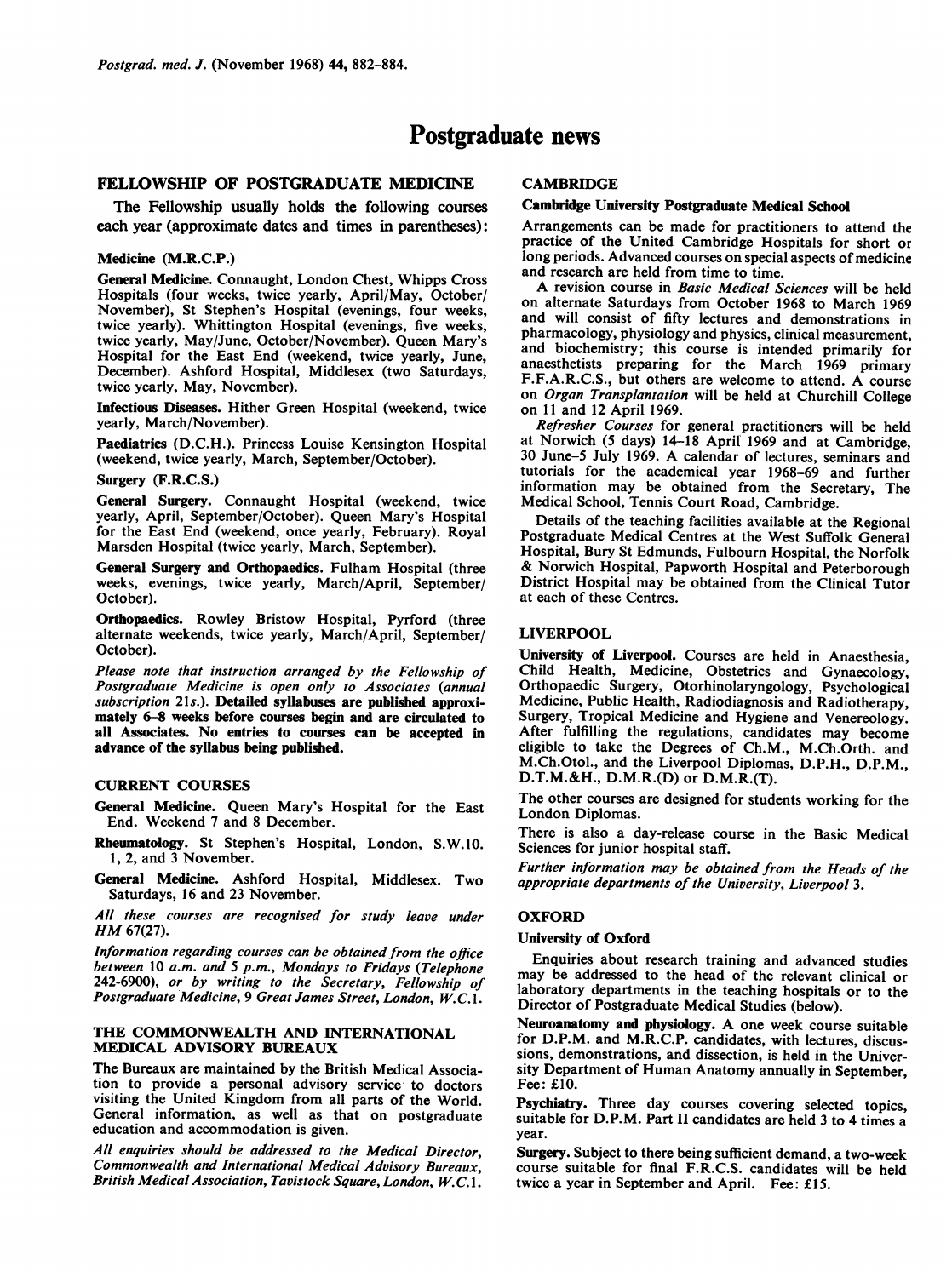# Postgraduate news

# FELLOWSHIP OF POSTGRADUATE MEDICINE

The Fellowship usually holds the following courses each year (approximate dates and times in parentheses):

#### Medicine (M.R.C.P.)

General Medicine. Connaught, London Chest, Whipps Cross Hospitals (four weeks, twice yearly, April/May, October/ November), St Stephen's Hospital (evenings, four weeks, twice yearly). Whittington Hospital (evenings, five weeks, twice yearly, May/June, October/November). Queen Mary's Hospital for the East End (weekend, twice yearly, June, December). Ashford Hospital, Middlesex (two Saturdays, twice yearly, May, November).

Infectious Diseases. Hither Green Hospital (weekend, twice yearly, March/November).

Paediatrics (D.C.H.). Princess Louise Kensington Hospital (weekend, twice yearly, March, September/October).

## Surgery (F.R.C.S.)

General Surgery. Connaught Hospital (weekend, twice yearly, April, September/October). Queen Mary's Hospital for the East End (weekend, once yearly, February). Royal Marsden Hospital (twice yearly, March, September).

General Surgery and Orthopaedics. Fulham Hospital (three weeks, evenings, twice yearly, March/April, September/ October).

Orthopaedics. Rowley Bristow Hospital, Pyrford (three alternate weekends, twice yearly, March/April, September/ October).

Please note that instruction arranged by the Fellowship of Postgraduate Medicine is open only to Associates (annual subscription 21s.). Detailed syllabuses are published approximately 6-8 weeks before courses begin and are circulated to all Associates. No entries to courses can be accepted in advance of the syllabus being published.

## CURRENT COURSES

General Medicine. Queen Mary's Hospital for the East End. Weekend 7 and 8 December.

Rheumatology. St Stephen's Hospital, London, S.W.10. 1, 2, and 3 November.

General Medicine. Ashford Hospital, Middlesex. Two Saturdays, 16 and 23 November.

All these courses are recognised for study leave under HM 67(27).

Information regarding courses can be obtained from the office between 10 a.m. and 5 p.m., Mondays to Fridays (Telephone 242-6900), or by writing to the Secretary, Fellowship of Postgraduate Medicine, 9 Great James Street, London, W.C.1.

## THE COMMONWEALTH AND INTERNATIONAL MEDICAL ADVISORY BUREAUX

The Bureaux are maintained by the British Medical Association to provide a personal advisory service to doctors visiting the United Kingdom from all parts of the World. General information, as well as that on postgraduate education and accommodation is given.

All enquiries should be addressed to the Medical Director, Commonwealth and International Medical Advisory Bureaux, British Medical Association, Tavistock Square, London, W.C. 1.

# **CAMBRIDGE**

## Cambridge University Postgraduate Medical School

Arrangements can be made for practitioners to attend the practice of the United Cambridge Hospitals for short or long periods. Advanced courses on special aspects of medicine and research are held from time to time.

A revision course in Basic Medical Sciences will be held on alternate Saturdays from October 1968 to March 1969 and will consist of fifty lectures and demonstrations in pharmacology, physiology and physics, clinical measurement, and biochemistry; this course is intended primarily for anaesthetists preparing for the March 1969 primary F.F.A.R.C.S., but others are welcome to attend. A course on Organ Transplantation will be held at Churchill College on <sup>11</sup> and 12 April 1969.

Refresher Courses for general practitioners will be held at Norwich (5 days) 14-18 April 1969 and at Cambridge, <sup>30</sup> June-5 July 1969. A calendar of lectures, seminars and tutorials for the academical year 1968-69 and further information may be obtained from the Secretary, The Medical School, Tennis Court Road, Cambridge.

Details of the teaching facilities available at the Regional Postgraduate Medical Centres at the West Suffolk General Hospital, Bury St Edmunds, Fulbourn Hospital, the Norfolk & Norwich Hospital, Papworth Hospital and Peterborough District Hospital may be obtained from the Clinical Tutor at each of these Centres.

## LIVERPOOL

University of Liverpool. Courses are held in Anaesthesia, Child Health, Medicine, Obstetrics and Gynaecology, Orthopaedic Surgery, Otorhinolaryngology, Psychological Medicine, Public Health, Radiodiagnosis and Radiotherapy, Surgery, Tropical Medicine and Hygiene and Venereology. After fulfilling the regulations, candidates may become eligible to take the Degrees of Ch.M., M.Ch.Orth. and M.Ch.Otol., and the Liverpool Diplomas, D.P.H., D.P.M., D.T.M.&H., D.M.R.(D) or D.M.R.(T).

The other courses are designed for students working for the London Diplomas.

There is also a day-release course in the Basic Medical Sciences for junior hospital staff.

Further information may be obtained from the Heads of the appropriate departments of the University, Liverpool 3.

## **OXFORD**

### University of Oxford

Enquiries about research training and advanced studies may be addressed to the head of the relevant clinical or laboratory departments in the teaching hospitals or to the Director of Postgraduate Medical Studies (below).

Neuroanatomy and physiology. A one week course suitable for D.P.M. and M.R.C.P. candidates, with lectures, discussions, demonstrations, and dissection, is held in the University Department of Human Anatomy annually in September, Fee: £10.

Psychiatry. Three day courses covering selected topics, suitable for D.P.M. Part II candidates are held <sup>3</sup> to 4 times a year.

Surgery. Subject to there being sufficient demand, a two-week course suitable for final F.R.C.S. candidates will be held twice a year in September and April. Fee: £15.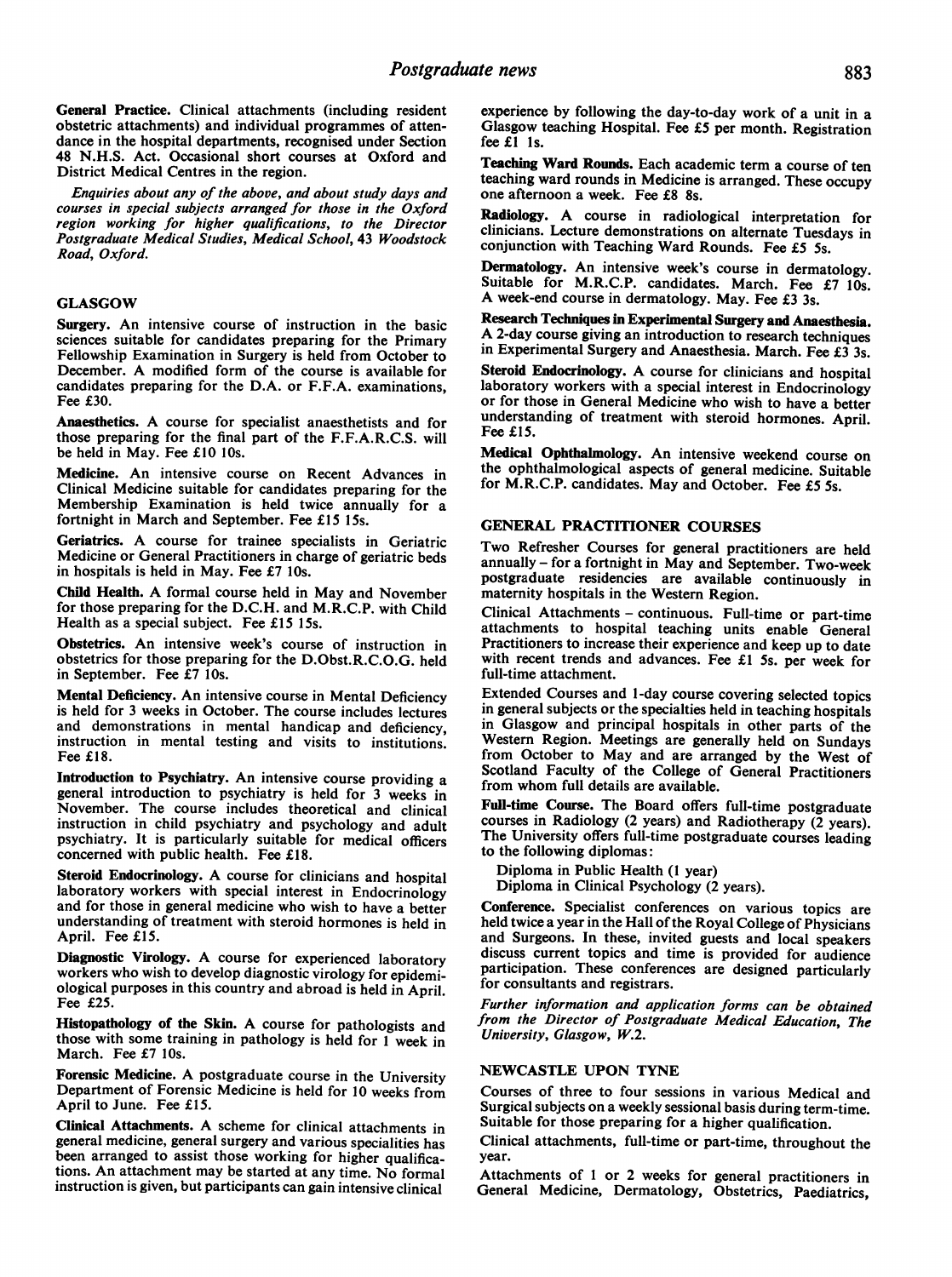General Practice. Clinical attachments (including resident obstetric attachments) and individual programmes of attendance in the hospital departments, recognised under Section 48 N.H.S. Act. Occasional short courses at Oxford and District Medical Centres in the region.

Enquiries about any of the above, and about study days and courses in special subjects arranged for those in the Oxford region working for higher qualifications, to the Director Postgraduate Medical Studies, Medical School, 43 Woodstock Road, Oxford.

### GLASGOW

Surgery. An intensive course of instruction in the basic sciences suitable for candidates preparing for the Primary Fellowship Examination in Surgery is held from October to December. A modified form of the course is available for candidates preparing for the D.A. or F.F.A. examinations, Fee £30.

Anaesthetics. A course for specialist anaesthetists and for those preparing for the final part of the F.F.A.R.C.S. will be held in May. Fee £10 10s.

Medicine. An intensive course on Recent Advances in Clinical Medicine suitable for candidates preparing for the Membership Examination is held twice annually for a fortnight in March and September. Fee £15 15s.

Geriatrics. A course for trainee specialists in Geriatric Medicine or General Practitioners in charge of geriatric beds in hospitals is held in May. Fee £7 10s.

Child Health. A formal course held in May and November for those preparing for the D.C.H. and M.R.C.P. with Child Health as a special subject. Fee £15 15s.

Obstetrics. An intensive week's course of instruction in obstetrics for those preparing for the D.Obst.R.C.O.G. held in September. Fee £7 10s.

Mental Deficiency. An intensive course in Mental Deficiency is held for <sup>3</sup> weeks in October. The course includes lectures and demonstrations in mental handicap and deficiency, instruction in mental testing and visits to institutions. Fee £18.

Introduction to Psychiatry. An intensive course providing <sup>a</sup> general introduction to psychiatry is held for <sup>3</sup> weeks in November. The course includes theoretical and clinical instruction in child psychiatry and psychology and adult psychiatry. It is particularly suitable for medical officers concerned with public health. Fee £18.

Steroid Endocrinology. A course for clinicians and hospital laboratory workers with special interest in Endocrinology and for those in general medicine who wish to have <sup>a</sup> better understanding of treatment with steroid hormones is held in April. Fee £15.

Diagnostic Virology. A course for experienced laboratory workers who wish to develop diagnostic virology for epidemiological purposes in this country and abroad is held in April. Fee £25.

Histopathology of the Skin. A course for pathologists and those with some training in pathology is held for <sup>I</sup> week in March. Fee £7 10s.

Forensic Medicine. A postgraduate course in the University Department of Forensic Medicine is held for 10 weeks from April to June. Fee £15.

Clinical Attachments. A scheme for clinical attachments in general medicine, general surgery and various specialities has been arranged to assist those working for higher qualifications. An attachment may be started at any time. No formal instruction is given, but participants can gain intensive clinical

experience by following the day-to-day work of a unit in a Glasgow teaching Hospital. Fee £5 per month. Registration fee $f1$  1s.

Teaching Ward Rounds. Each academic term a course of ten teaching ward rounds in Medicine is arranged. These occupy one afternoon a week. Fee £8 8s.

Radiology. A course in radiological interpretation for clinicians. Lecture demonstrations on alternate Tuesdays in conjunction with Teaching Ward Rounds. Fee £5 5s.

Dermatology. An intensive week's course in dermatology. Suitable for M.R.C.P. candidates. March. Fee £7 10s. A week-end course in dermatology. May. Fee £3 3s.

Research Techniques in Experimental Surgery and Anaesthesia. A 2-day course giving an introduction to research techniques in Experimental Surgery and Anaesthesia. March. Fee £3 3s.

Steroid Endocrinology. A course for clinicians and hospital laboratory workers with a special interest in Endocrinology or for those in General Medicine who wish to have a better understanding of treatment with steroid hormones. April. Fee £15.

Medical Ophthalmology. An intensive weekend course on the ophthalmological aspects of general medicine. Suitable for M.R.C.P. candidates. May and October. Fee £5 5s.

## GENERAL PRACTITIONER COURSES

Two Refresher Courses for general practitioners are held annually - for <sup>a</sup> fortnight in May and September. Two-week postgraduate residencies are available continuously in maternity hospitals in the Western Region.

Clinical Attachments - continuous. Full-time or part-time attachments to hospital teaching units enable General Practitioners to increase their experience and keep up to date with recent trends and advances. Fee £1 5s. per week for full-time attachment.

Extended Courses and 1-day course covering selected topics in general subjects or the specialties held in teaching hospitals in Glasgow and principal hospitals in other parts of the Western Region. Meetings are generally held on Sundays from October to May and are arranged by the West of Scotland Faculty of the College of General Practitioners from whom full details are available.

Full-time Course. The Board offers full-time postgraduate courses in Radiology (2 years) and Radiotherapy (2 years). The University offers full-time postgraduate courses leading to the following diplomas:

Diploma in Public Health (1 year) Diploma in Clinical Psychology (2 years).

Conference. Specialist conferences on various topics are held twice a year in the Hall of the Royal College of Physicians and Surgeons. In these, invited guests and local speakers discuss current topics and time is provided for audience participation. These conferences are designed particularly for consultants and registrars.

Further information and application forms can be obtained from the Director of Postgraduate Medical Education, The University, Glasgow, W.2.

## NEWCASTLE UPON TYNE

Courses of three to four sessions in various Medical and Surgical subjects on a weekly sessional basis during term-time. Suitable for those preparing for a higher qualification.

Clinical attachments, full-time or part-time, throughout the year.

Attachments of <sup>I</sup> or 2 weeks for general practitioners in General Medicine, Dermatology, Obstetrics, Paediatrics,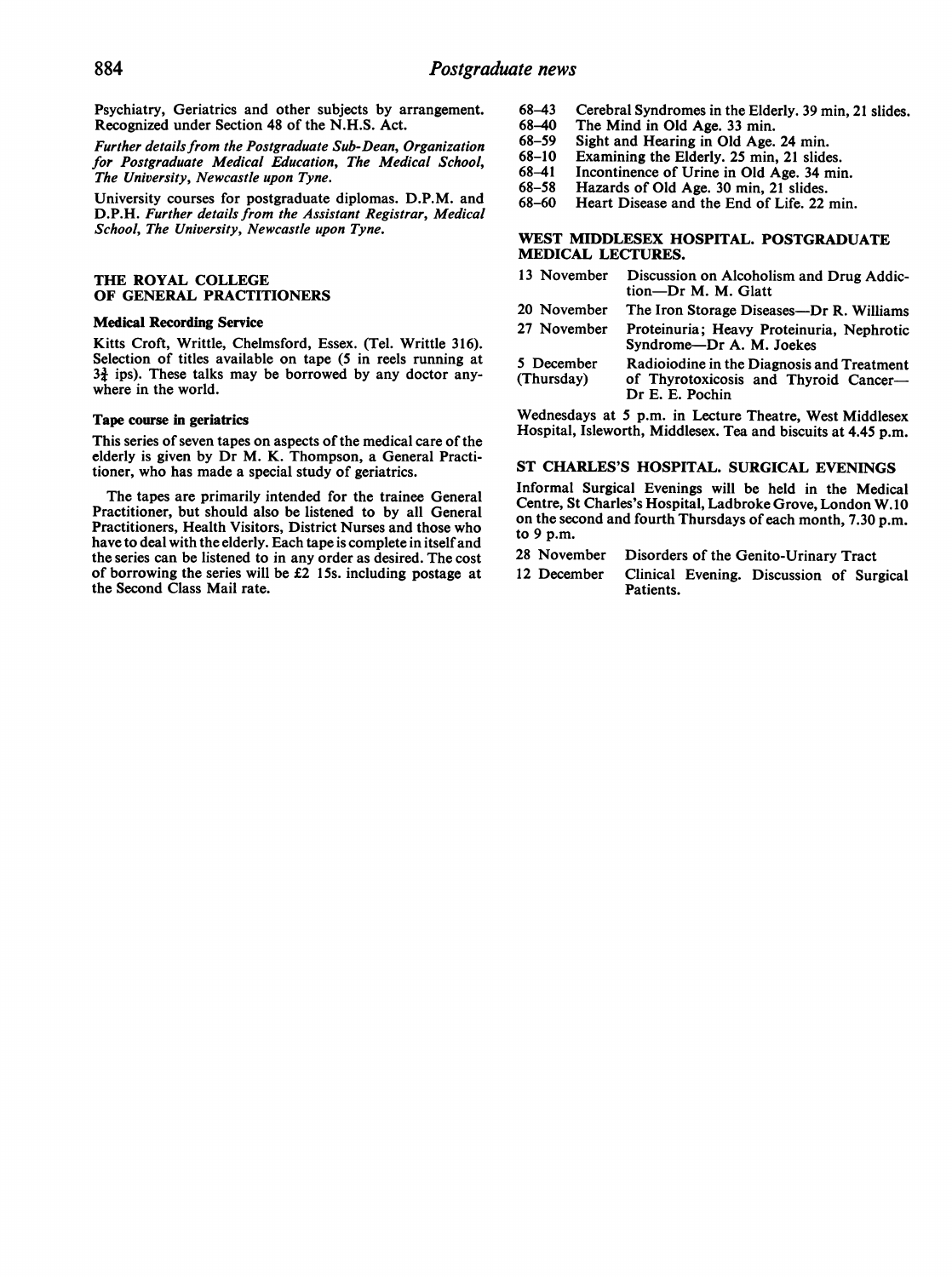Psychiatry, Geriatrics and other subjects by arrangement. Recognized under Section 48 of the N.H.S. Act.

Further details from the Postgraduate Sub-Dean, Organization for Postgraduate Medical Education, The Medical School, The University, Newcastle upon Tyne.

University courses for postgraduate diplomas. D.P.M. and D.P.H. Further details from the Assistant Registrar, Medical School, The University, Newcastle upon Tyne.

### THE ROYAL COLLEGE OF GENERAL PRACTITIONERS

## Medical Recording Service

Kitts Croft, Writtle, Chelmsford, Essex. (Tel. Writtle 316). Selection of titles available on tape (5 in reels running at  $3\frac{3}{2}$  ips). These talks may be borrowed by any doctor anywhere in the world.

#### Tape course in geriatrics

This series of seven tapes on aspects of the medical care of the elderly is given by Dr M. K. Thompson, a General Practitioner, who has made a special study of geriatrics.

The tapes are primarily intended for the trainee General Practitioner, but should also be listened to by all General Practitioners, Health Visitors, District Nurses and those who have to deal with the elderly. Each tape is complete in itself and the series can be listened to in any order as desired. The cost of borrowing the series will be £2 15s. including postage at the Second Class Mail rate.

- 68-43 Cerebral Syndromes in the Elderly. 39 min, 21 slides.
- 68-40 The Mind in Old Age. 33 min.
- 68-59 Sight and Hearing in Old Age. 24 min.
- 68-10 Examining the Elderly. 25 min, 21 slides.
- 68-41 68-58 Incontinence of Urine in Old Age. 34 min.
- Hazards of Old Age. 30 min, 21 slides.
- 68-60 Heart Disease and the End of Life. 22 min.

### WEST MIDDLESEX HOSPITAL. POSTGRADUATE MEDICAL LECTURES.

- 13 November Discussion on Alcoholism and Drug Addiction-Dr M. M. Glatt
- 20 November The Iron Storage Diseases-Dr R. Williams 27 November Proteinuria; Heavy Proteinuria, Nephrotic Syndrome-Dr A. M. Joekes
- 5 December Radioiodine in the Diagnosis and Treatment<br>(Thursday) of Thyrotoxicosis and Thyroid Cancer of Thyrotoxicosis and Thyroid Cancer-Dr E. E. Pochin

Wednesdays at 5 p.m. in Lecture Theatre, West Middlesex Hospital, Isleworth, Middlesex. Tea and biscuits at 4.45 p.m.

#### ST CHARLES'S HOSPITAL. SURGICAL EVENINGS

Informal Surgical Evenings will be held in the Medical Centre, St Charles's Hospital, Ladbroke Grove, London W.10 on the second and fourth Thursdays of each month, 7.30 p.m. to 9 p.m.

- 28 November Disorders of the Genito-Urinary Tract
- 12 December Clinical Evening. Discussion of Surgical Patients.